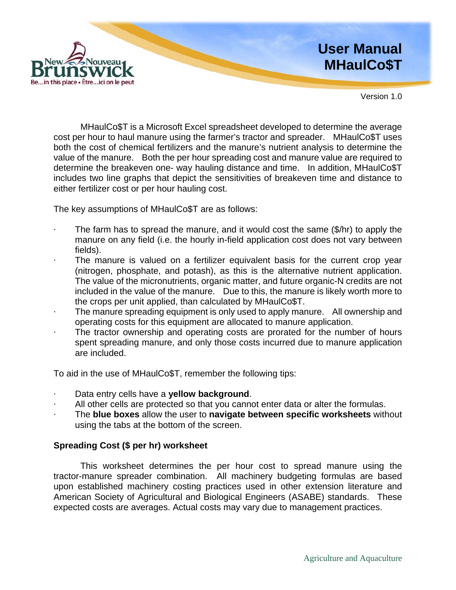

Version 1.0

MHaulCo\$T is a Microsoft Excel spreadsheet developed to determine the average cost per hour to haul manure using the farmer's tractor and spreader. MHaulCo\$T uses both the cost of chemical fertilizers and the manure's nutrient analysis to determine the value of the manure. Both the per hour spreading cost and manure value are required to determine the breakeven one- way hauling distance and time. In addition, MHaulCo\$T includes two line graphs that depict the sensitivities of breakeven time and distance to either fertilizer cost or per hour hauling cost.

The key assumptions of MHaulCo\$T are as follows:

- The farm has to spread the manure, and it would cost the same (\$/hr) to apply the manure on any field (i.e. the hourly in-field application cost does not vary between fields).
- The manure is valued on a fertilizer equivalent basis for the current crop year (nitrogen, phosphate, and potash), as this is the alternative nutrient application. The value of the micronutrients, organic matter, and future organic-N credits are not included in the value of the manure. Due to this, the manure is likely worth more to the crops per unit applied, than calculated by MHaulCo\$T.
- The manure spreading equipment is only used to apply manure. All ownership and operating costs for this equipment are allocated to manure application.
- The tractor ownership and operating costs are prorated for the number of hours spent spreading manure, and only those costs incurred due to manure application are included.

To aid in the use of MHaulCo\$T, remember the following tips:

- · Data entry cells have a **yellow background**.
- · All other cells are protected so that you cannot enter data or alter the formulas.
- · The **blue boxes** allow the user to **navigate between specific worksheets** without using the tabs at the bottom of the screen.

### **Spreading Cost (\$ per hr) worksheet**

This worksheet determines the per hour cost to spread manure using the tractor-manure spreader combination. All machinery budgeting formulas are based upon established machinery costing practices used in other extension literature and American Society of Agricultural and Biological Engineers (ASABE) standards. These expected costs are averages. Actual costs may vary due to management practices.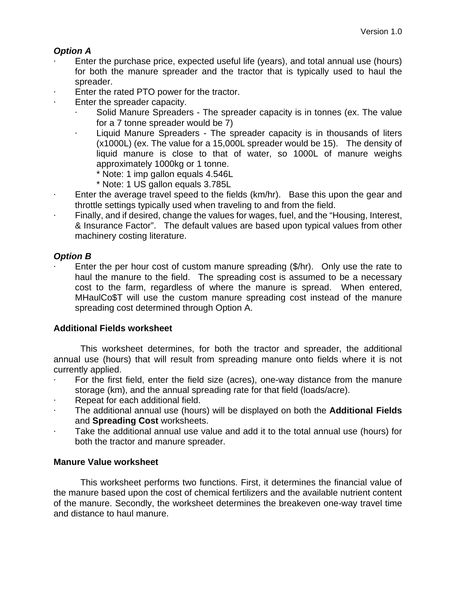# *Option A*

- Enter the purchase price, expected useful life (years), and total annual use (hours) for both the manure spreader and the tractor that is typically used to haul the spreader.
- Enter the rated PTO power for the tractor.
- Enter the spreader capacity.
	- Solid Manure Spreaders The spreader capacity is in tonnes (ex. The value for a 7 tonne spreader would be 7)
	- Liquid Manure Spreaders The spreader capacity is in thousands of liters (x1000L) (ex. The value for a 15,000L spreader would be 15). The density of liquid manure is close to that of water, so 1000L of manure weighs approximately 1000kg or 1 tonne.
		- \* Note: 1 imp gallon equals 4.546L
		- \* Note: 1 US gallon equals 3.785L
- Enter the average travel speed to the fields (km/hr). Base this upon the gear and throttle settings typically used when traveling to and from the field.
- Finally, and if desired, change the values for wages, fuel, and the "Housing, Interest, & Insurance Factor". The default values are based upon typical values from other machinery costing literature.

## *Option B*

Enter the per hour cost of custom manure spreading (\$/hr). Only use the rate to haul the manure to the field. The spreading cost is assumed to be a necessary cost to the farm, regardless of where the manure is spread. When entered, MHaulCo\$T will use the custom manure spreading cost instead of the manure spreading cost determined through Option A.

## **Additional Fields worksheet**

This worksheet determines, for both the tractor and spreader, the additional annual use (hours) that will result from spreading manure onto fields where it is not currently applied.

- · For the first field, enter the field size (acres), one-way distance from the manure storage (km), and the annual spreading rate for that field (loads/acre).
- Repeat for each additional field.
- · The additional annual use (hours) will be displayed on both the **Additional Fields** and **Spreading Cost** worksheets.
- Take the additional annual use value and add it to the total annual use (hours) for both the tractor and manure spreader.

## **Manure Value worksheet**

This worksheet performs two functions. First, it determines the financial value of the manure based upon the cost of chemical fertilizers and the available nutrient content of the manure. Secondly, the worksheet determines the breakeven one-way travel time and distance to haul manure.